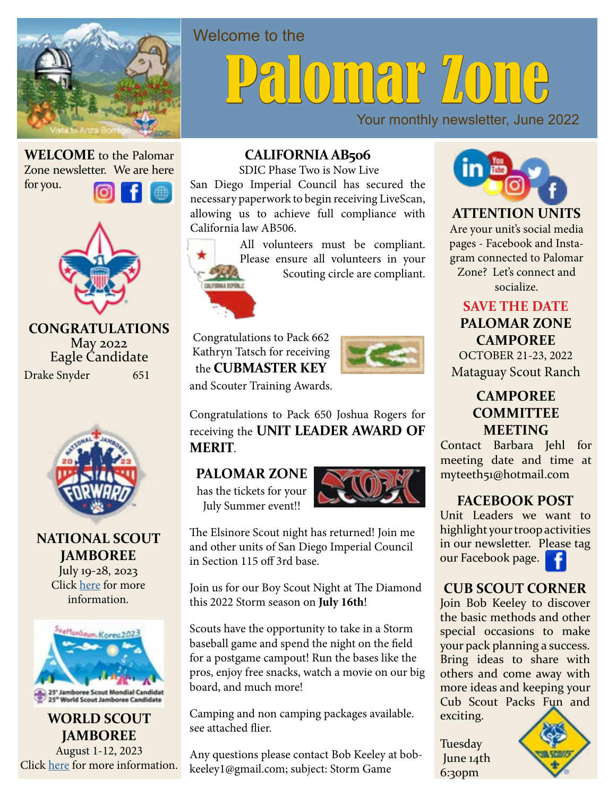

# DINAP "LONG

Your monthly newsletter, June 2022

**WELCOME** to the Palomar Zone newsletter. We are here

for you.



Drake Snyder 651 **CONGRATULATIONS** May 2022 Eagle Candidate



**NATIONAL SCOUT JAMBOREE** July 19-28, 2023

Click here for more information.



**WORLD SCOUT JAMBOREE** August 1-12, 2023 Click here for more information.

#### **CALIFORNIA AB506**

SDIC Phase Two is Now Live

San Diego Imperial Council has secured the necessary paperwork to begin receiving LiveScan, allowing us to achieve full compliance with California law AB506.

All volunteers must be compliant. Please ensure all volunteers in your Scouting circle are compliant.



Welcome to the

Congratulations to Pack 662 Kathryn Tatsch for receiving the **CUBMASTER KEY** and Scouter Training Awards.



Congratulations to Pack 650 Joshua Rogers for receiving the **UNIT LEADER AWARD OF MERIT**.

#### **PALOMAR ZONE**

has the tickets for your July Summer event!!



The Elsinore Scout night has returned! Join me and other units of San Diego Imperial Council in Section 115 off 3rd base.

Join us for our Boy Scout Night at The Diamond this 2022 Storm season on **July 16th**!

Scouts have the opportunity to take in a Storm baseball game and spend the night on the field for a postgame campout! Run the bases like the pros, enjoy free snacks, watch a movie on our big board, and much more!

Camping and non camping packages available. see attached flier.

Any questions please contact Bob Keeley at bobkeeley1@gmail.com; subject: Storm Game



**ATTENTION UNITS** Are your unit's social media pages - Facebook and Instagram connected to Palomar Zone? Let's connect and socialize.

**SAVE THE DATE PALOMAR ZONE CAMPOREE** OCTOBER 21-23, 2022

Mataguay Scout Ranch

#### **CAMPOREE COMMITTEE MEETING**

Contact Barbara Jehl for meeting date and time at myteeth51@hotmail.com

#### **FACEBOOK POST**

Unit Leaders we want to highlight your troop activities in our newsletter. [Please](https://www.facebook.com/BSA-Palomar-District-San-Diego-Imperial-Council-246352442074364) tag our Facebook page.



Join Bob Keeley to discover the basic methods and other special occasions to make your pack planning a success. Bring ideas to share with others and come away with more ideas and keeping your Cub Scout P[acks Fun and](https://palomar.sdicbsa.org/)  exciting.

Tuesday June 14th 6:30pm

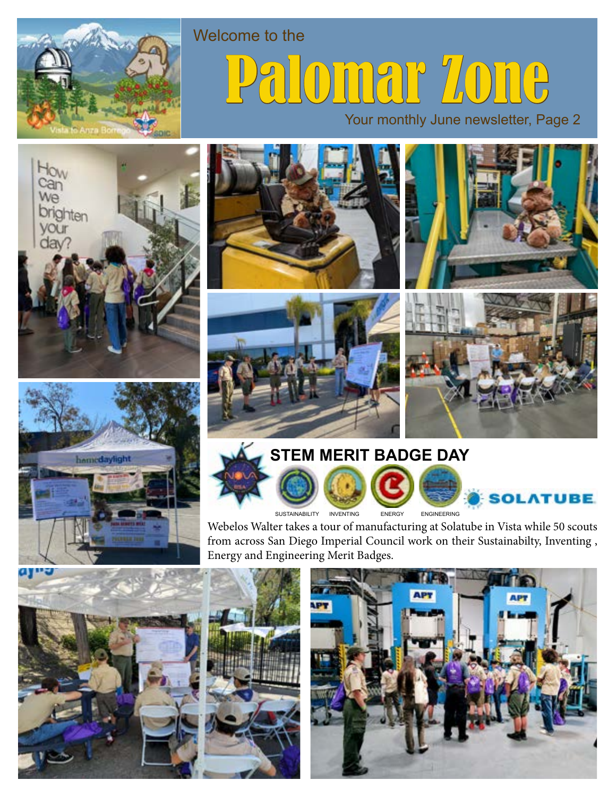

## Welcome to the pmar Zone

Your monthly June newsletter, Page 2

















Webelos Walter takes a tour of manufacturing at Solatube in Vista while 50 scouts from across San Diego Imperial Council work on their Sustainabilty, Inventing , Energy and Engineering Merit Badges.